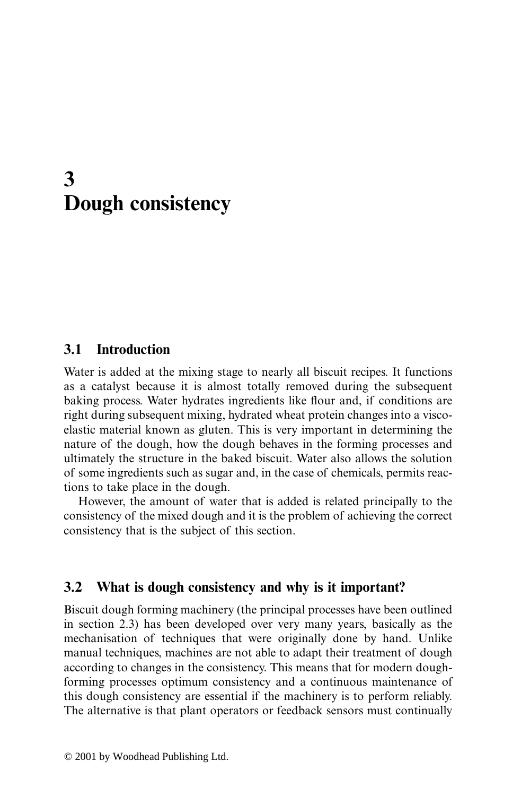# **3 Dough consistency**

### **3.1 Introduction**

Water is added at the mixing stage to nearly all biscuit recipes. It functions as a catalyst because it is almost totally removed during the subsequent baking process. Water hydrates ingredients like flour and, if conditions are right during subsequent mixing, hydrated wheat protein changes into a viscoelastic material known as gluten. This is very important in determining the nature of the dough, how the dough behaves in the forming processes and ultimately the structure in the baked biscuit. Water also allows the solution of some ingredients such as sugar and, in the case of chemicals, permits reactions to take place in the dough.

However, the amount of water that is added is related principally to the consistency of the mixed dough and it is the problem of achieving the correct consistency that is the subject of this section.

### **3.2 What is dough consistency and why is it important?**

Biscuit dough forming machinery (the principal processes have been outlined in section 2.3) has been developed over very many years, basically as the mechanisation of techniques that were originally done by hand. Unlike manual techniques, machines are not able to adapt their treatment of dough according to changes in the consistency. This means that for modern doughforming processes optimum consistency and a continuous maintenance of this dough consistency are essential if the machinery is to perform reliably. The alternative is that plant operators or feedback sensors must continually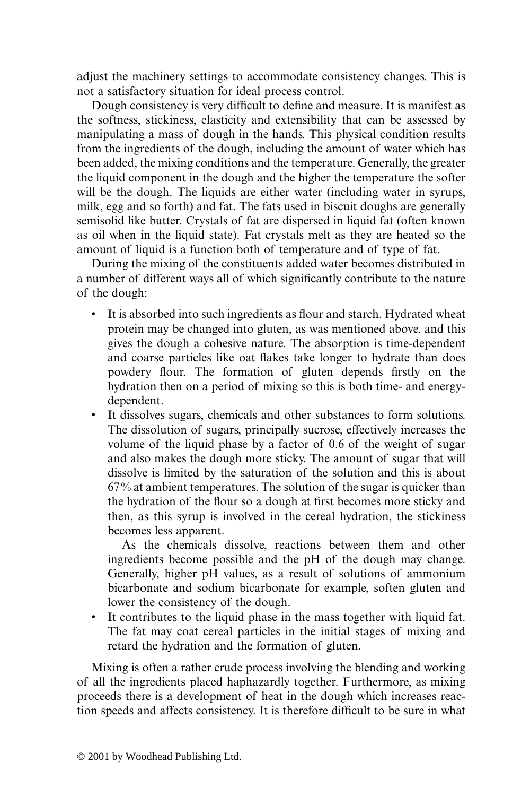adjust the machinery settings to accommodate consistency changes. This is not a satisfactory situation for ideal process control.

Dough consistency is very difficult to define and measure. It is manifest as the softness, stickiness, elasticity and extensibility that can be assessed by manipulating a mass of dough in the hands. This physical condition results from the ingredients of the dough, including the amount of water which has been added, the mixing conditions and the temperature. Generally, the greater the liquid component in the dough and the higher the temperature the softer will be the dough. The liquids are either water (including water in syrups, milk, egg and so forth) and fat. The fats used in biscuit doughs are generally semisolid like butter. Crystals of fat are dispersed in liquid fat (often known as oil when in the liquid state). Fat crystals melt as they are heated so the amount of liquid is a function both of temperature and of type of fat.

During the mixing of the constituents added water becomes distributed in a number of different ways all of which significantly contribute to the nature of the dough:

- It is absorbed into such ingredients as flour and starch. Hydrated wheat protein may be changed into gluten, as was mentioned above, and this gives the dough a cohesive nature. The absorption is time-dependent and coarse particles like oat flakes take longer to hydrate than does powdery flour. The formation of gluten depends firstly on the hydration then on a period of mixing so this is both time- and energydependent.
- It dissolves sugars, chemicals and other substances to form solutions. The dissolution of sugars, principally sucrose, effectively increases the volume of the liquid phase by a factor of 0.6 of the weight of sugar and also makes the dough more sticky. The amount of sugar that will dissolve is limited by the saturation of the solution and this is about 67 % at ambient temperatures. The solution of the sugar is quicker than the hydration of the flour so a dough at first becomes more sticky and then, as this syrup is involved in the cereal hydration, the stickiness becomes less apparent.

As the chemicals dissolve, reactions between them and other ingredients become possible and the pH of the dough may change. Generally, higher pH values, as a result of solutions of ammonium bicarbonate and sodium bicarbonate for example, soften gluten and lower the consistency of the dough.

• It contributes to the liquid phase in the mass together with liquid fat. The fat may coat cereal particles in the initial stages of mixing and retard the hydration and the formation of gluten.

Mixing is often a rather crude process involving the blending and working of all the ingredients placed haphazardly together. Furthermore, as mixing proceeds there is a development of heat in the dough which increases reaction speeds and affects consistency. It is therefore difficult to be sure in what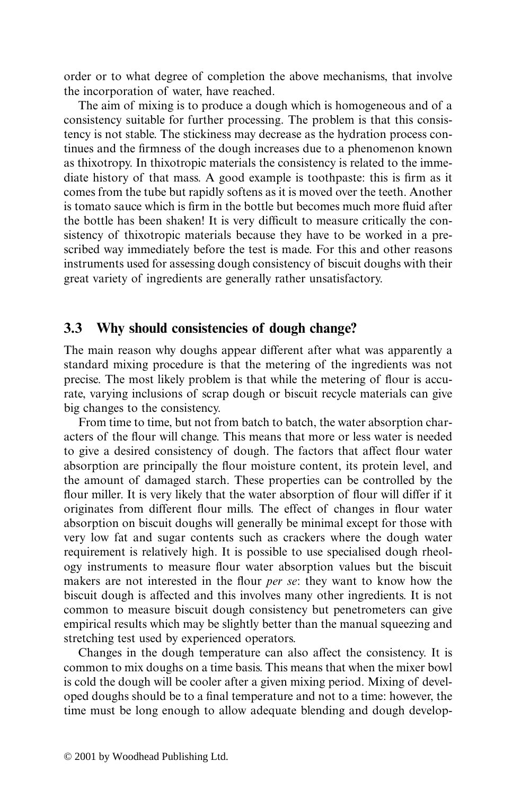order or to what degree of completion the above mechanisms, that involve the incorporation of water, have reached.

The aim of mixing is to produce a dough which is homogeneous and of a consistency suitable for further processing. The problem is that this consistency is not stable. The stickiness may decrease as the hydration process continues and the firmness of the dough increases due to a phenomenon known as thixotropy. In thixotropic materials the consistency is related to the immediate history of that mass. A good example is toothpaste: this is firm as it comes from the tube but rapidly softens as it is moved over the teeth. Another is tomato sauce which is firm in the bottle but becomes much more fluid after the bottle has been shaken! It is very difficult to measure critically the consistency of thixotropic materials because they have to be worked in a prescribed way immediately before the test is made. For this and other reasons instruments used for assessing dough consistency of biscuit doughs with their great variety of ingredients are generally rather unsatisfactory.

#### **3.3 Why should consistencies of dough change?**

The main reason why doughs appear different after what was apparently a standard mixing procedure is that the metering of the ingredients was not precise. The most likely problem is that while the metering of flour is accurate, varying inclusions of scrap dough or biscuit recycle materials can give big changes to the consistency.

From time to time, but not from batch to batch, the water absorption characters of the flour will change. This means that more or less water is needed to give a desired consistency of dough. The factors that affect flour water absorption are principally the flour moisture content, its protein level, and the amount of damaged starch. These properties can be controlled by the flour miller. It is very likely that the water absorption of flour will differ if it originates from different flour mills. The effect of changes in flour water absorption on biscuit doughs will generally be minimal except for those with very low fat and sugar contents such as crackers where the dough water requirement is relatively high. It is possible to use specialised dough rheology instruments to measure flour water absorption values but the biscuit makers are not interested in the flour *per se*: they want to know how the biscuit dough is affected and this involves many other ingredients. It is not common to measure biscuit dough consistency but penetrometers can give empirical results which may be slightly better than the manual squeezing and stretching test used by experienced operators.

Changes in the dough temperature can also affect the consistency. It is common to mix doughs on a time basis. This means that when the mixer bowl is cold the dough will be cooler after a given mixing period. Mixing of developed doughs should be to a final temperature and not to a time: however, the time must be long enough to allow adequate blending and dough develop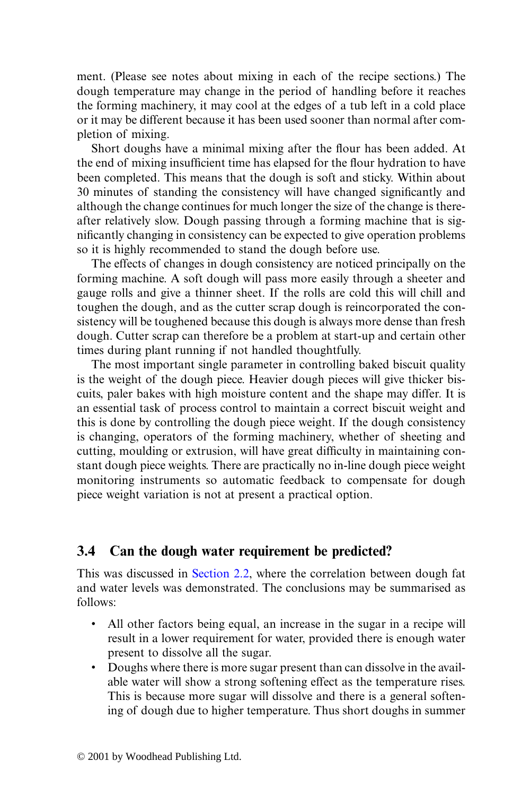ment. (Please see notes about mixing in each of the recipe sections.) The dough temperature may change in the period of handling before it reaches the forming machinery, it may cool at the edges of a tub left in a cold place or it may be different because it has been used sooner than normal after completion of mixing.

Short doughs have a minimal mixing after the flour has been added. At the end of mixing insufficient time has elapsed for the flour hydration to have been completed. This means that the dough is soft and sticky. Within about 30 minutes of standing the consistency will have changed significantly and although the change continues for much longer the size of the change is thereafter relatively slow. Dough passing through a forming machine that is significantly changing in consistency can be expected to give operation problems so it is highly recommended to stand the dough before use.

The effects of changes in dough consistency are noticed principally on the forming machine. A soft dough will pass more easily through a sheeter and gauge rolls and give a thinner sheet. If the rolls are cold this will chill and toughen the dough, and as the cutter scrap dough is reincorporated the consistency will be toughened because this dough is always more dense than fresh dough. Cutter scrap can therefore be a problem at start-up and certain other times during plant running if not handled thoughtfully.

The most important single parameter in controlling baked biscuit quality is the weight of the dough piece. Heavier dough pieces will give thicker biscuits, paler bakes with high moisture content and the shape may differ. It is an essential task of process control to maintain a correct biscuit weight and this is done by controlling the dough piece weight. If the dough consistency is changing, operators of the forming machinery, whether of sheeting and cutting, moulding or extrusion, will have great difficulty in maintaining constant dough piece weights. There are practically no in-line dough piece weight monitoring instruments so automatic feedback to compensate for dough piece weight variation is not at present a practical option.

## **3.4 Can the dough water requirement be predicted?**

This was discussed in Section 2.2, where the correlation between dough fat and water levels was demonstrated. The conclusions may be summarised as follows:

- All other factors being equal, an increase in the sugar in a recipe will result in a lower requirement for water, provided there is enough water present to dissolve all the sugar.
- Doughs where there is more sugar present than can dissolve in the available water will show a strong softening effect as the temperature rises. This is because more sugar will dissolve and there is a general softening of dough due to higher temperature. Thus short doughs in summer